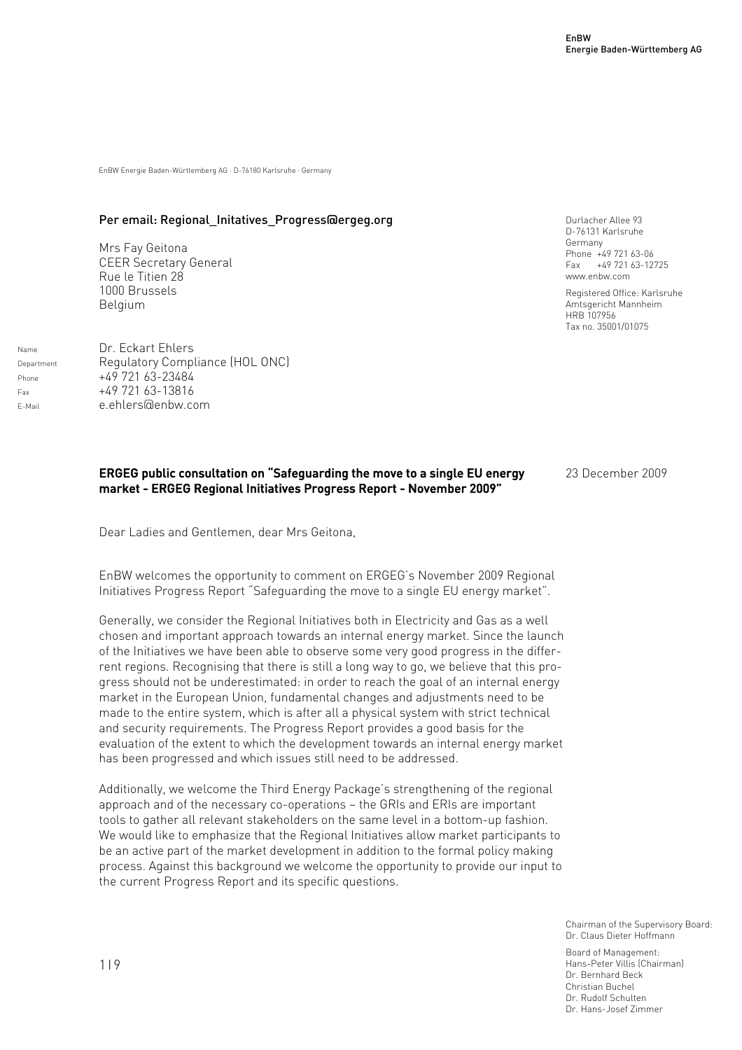EnBW Energie Baden-Württemberg AG · D-76180 Karlsruhe · Germany

#### Per email: Regional Initatives Progress@ergeg.org

Mrs Fay Geitona CEER Secretary General Rue le Titien 28 1000 Brussels Belgium

Name Dr. Eckart Ehlers Department Regulatory Compliance (HOL ONC) Phone  $+49\,721\,63-23484$  $+49\,721\,63-13816$ E-Mail e.ehlers@enbw.com

#### Durlacher Allee 93 D-76131 Karlsruhe Germany Phone +49 721 63-06 Fax +49 721 63-12725 www.enbw.com

Registered Office: Karlsruhe Amtsgericht Mannheim HRB 107956 Tax no. 35001/01075

#### ERGEG public consultation on "Safeguarding the move to a single EU energy market - ERGEG Regional Initiatives Progress Report - November 2009"

23 December 2009

Dear Ladies and Gentlemen, dear Mrs Geitona,

EnBW welcomes the opportunity to comment on ERGEG's November 2009 Regional Initiatives Progress Report "Safeguarding the move to a single EU energy market".

Generally, we consider the Regional Initiatives both in Electricity and Gas as a well chosen and important approach towards an internal energy market. Since the launch of the Initiatives we have been able to observe some very good progress in the differrent regions. Recognising that there is still a long way to go, we believe that this progress should not be underestimated: in order to reach the goal of an internal energy market in the European Union, fundamental changes and adjustments need to be made to the entire system, which is after all a physical system with strict technical and security requirements. The Progress Report provides a good basis for the evaluation of the extent to which the development towards an internal energy market has been progressed and which issues still need to be addressed.

Additionally, we welcome the Third Energy Package's strengthening of the regional approach and of the necessary co-operations – the GRIs and ERIs are important tools to gather all relevant stakeholders on the same level in a bottom-up fashion. We would like to emphasize that the Regional Initiatives allow market participants to be an active part of the market development in addition to the formal policy making process. Against this background we welcome the opportunity to provide our input to the current Progress Report and its specific questions.

> Chairman of the Supervisory Board: Dr. Claus Dieter Hoffmann

Board of Management: Hans-Peter Villis (Chairman) Dr. Bernhard Beck Christian Buchel Dr. Rudolf Schulten Dr. Hans-Josef Zimmer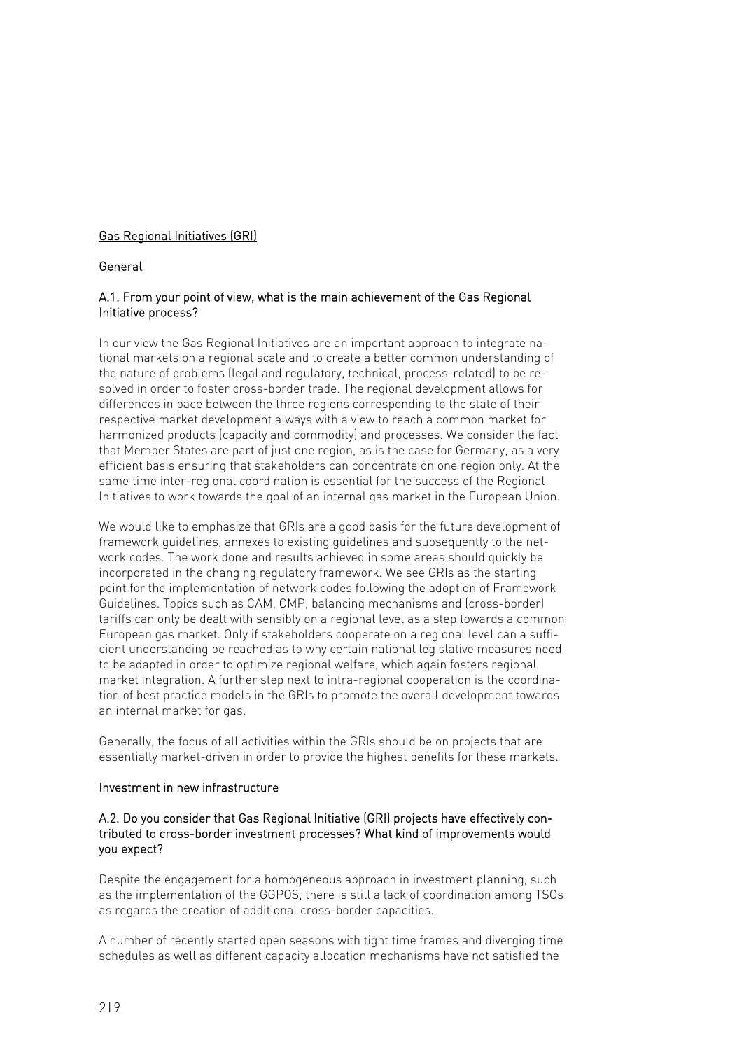# Gas Regional Initiatives (GRI)

#### General

### A.1. From your point of view, what is the main achievement of the Gas Regional Initiative process?

In our view the Gas Regional Initiatives are an important approach to integrate national markets on a regional scale and to create a better common understanding of the nature of problems (legal and regulatory, technical, process-related) to be resolved in order to foster cross-border trade. The regional development allows for differences in pace between the three regions corresponding to the state of their respective market development always with a view to reach a common market for harmonized products (capacity and commodity) and processes. We consider the fact that Member States are part of just one region, as is the case for Germany, as a very efficient basis ensuring that stakeholders can concentrate on one region only. At the same time inter-regional coordination is essential for the success of the Regional Initiatives to work towards the goal of an internal gas market in the European Union.

We would like to emphasize that GRIs are a good basis for the future development of framework guidelines, annexes to existing guidelines and subsequently to the network codes. The work done and results achieved in some areas should quickly be incorporated in the changing regulatory framework. We see GRIs as the starting point for the implementation of network codes following the adoption of Framework Guidelines. Topics such as CAM, CMP, balancing mechanisms and (cross-border) tariffs can only be dealt with sensibly on a regional level as a step towards a common European gas market. Only if stakeholders cooperate on a regional level can a sufficient understanding be reached as to why certain national legislative measures need to be adapted in order to optimize regional welfare, which again fosters regional market integration. A further step next to intra-regional cooperation is the coordination of best practice models in the GRIs to promote the overall development towards an internal market for gas.

Generally, the focus of all activities within the GRIs should be on projects that are essentially market-driven in order to provide the highest benefits for these markets.

#### Investment in new infrastructure

#### A.2. Do you consider that Gas Regional Initiative (GRI) projects have effectively contributed to cross-border investment processes? What kind of improvements would you expect?

Despite the engagement for a homogeneous approach in investment planning, such as the implementation of the GGPOS, there is still a lack of coordination among TSOs as regards the creation of additional cross-border capacities.

A number of recently started open seasons with tight time frames and diverging time schedules as well as different capacity allocation mechanisms have not satisfied the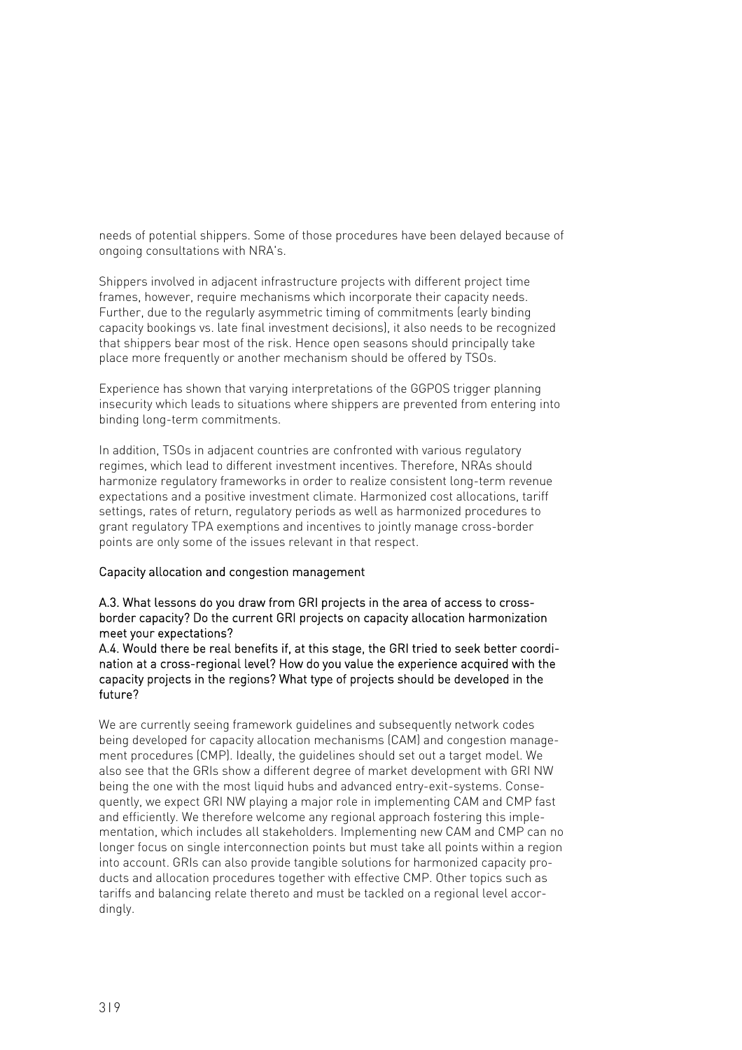needs of potential shippers. Some of those procedures have been delayed because of ongoing consultations with NRA's.

Shippers involved in adjacent infrastructure projects with different project time frames, however, require mechanisms which incorporate their capacity needs. Further, due to the regularly asymmetric timing of commitments (early binding capacity bookings vs. late final investment decisions), it also needs to be recognized that shippers bear most of the risk. Hence open seasons should principally take place more frequently or another mechanism should be offered by TSOs.

Experience has shown that varying interpretations of the GGPOS trigger planning insecurity which leads to situations where shippers are prevented from entering into binding long-term commitments.

In addition, TSOs in adjacent countries are confronted with various regulatory regimes, which lead to different investment incentives. Therefore, NRAs should harmonize regulatory frameworks in order to realize consistent long-term revenue expectations and a positive investment climate. Harmonized cost allocations, tariff settings, rates of return, regulatory periods as well as harmonized procedures to grant regulatory TPA exemptions and incentives to jointly manage cross-border points are only some of the issues relevant in that respect.

#### Capacity allocation and congestion management

A.3. What lessons do you draw from GRI projects in the area of access to crossborder capacity? Do the current GRI projects on capacity allocation harmonization meet your expectations?

A.4. Would there be real benefits if, at this stage, the GRI tried to seek better coordination at a cross-regional level? How do you value the experience acquired with the capacity projects in the regions? What type of projects should be developed in the future?

We are currently seeing framework guidelines and subsequently network codes being developed for capacity allocation mechanisms (CAM) and congestion management procedures (CMP). Ideally, the guidelines should set out a target model. We also see that the GRIs show a different degree of market development with GRI NW being the one with the most liquid hubs and advanced entry-exit-systems. Consequently, we expect GRI NW playing a major role in implementing CAM and CMP fast and efficiently. We therefore welcome any regional approach fostering this implementation, which includes all stakeholders. Implementing new CAM and CMP can no longer focus on single interconnection points but must take all points within a region into account. GRIs can also provide tangible solutions for harmonized capacity products and allocation procedures together with effective CMP. Other topics such as tariffs and balancing relate thereto and must be tackled on a regional level accordingly.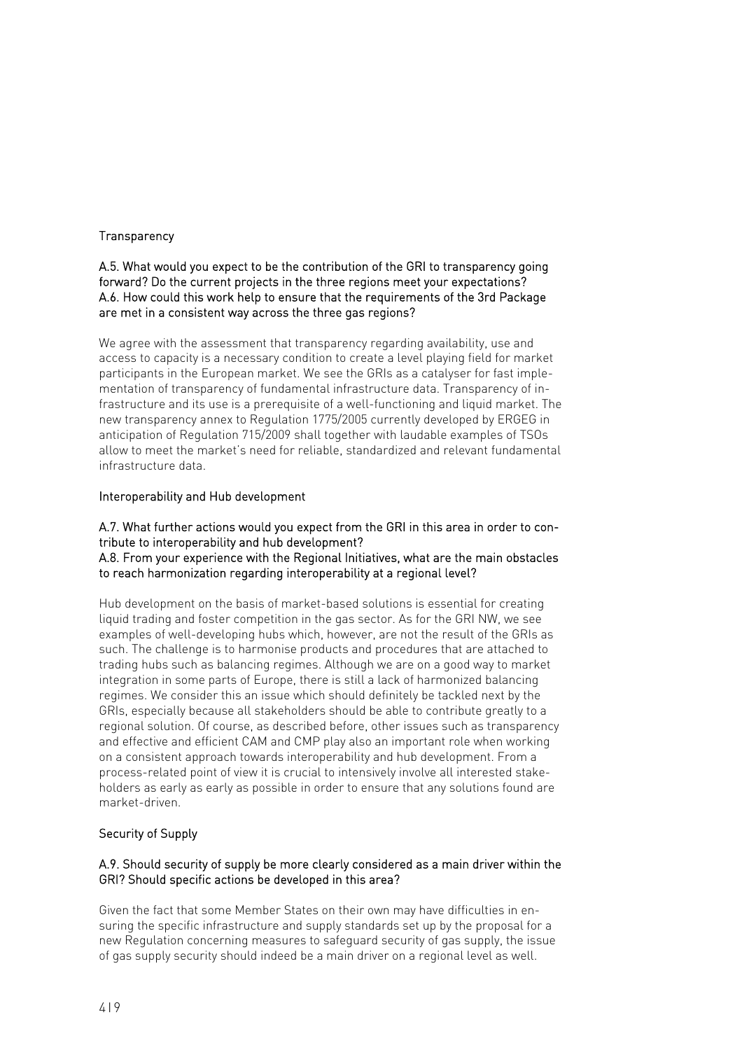### **Transparency**

#### A.5. What would you expect to be the contribution of the GRI to transparency going forward? Do the current projects in the three regions meet your expectations? A.6. How could this work help to ensure that the requirements of the 3rd Package are met in a consistent way across the three gas regions?

We agree with the assessment that transparency regarding availability, use and access to capacity is a necessary condition to create a level playing field for market participants in the European market. We see the GRIs as a catalyser for fast implementation of transparency of fundamental infrastructure data. Transparency of infrastructure and its use is a prerequisite of a well-functioning and liquid market. The new transparency annex to Regulation 1775/2005 currently developed by ERGEG in anticipation of Regulation 715/2009 shall together with laudable examples of TSOs allow to meet the market's need for reliable, standardized and relevant fundamental infrastructure data.

# Interoperability and Hub development

#### A.7. What further actions would you expect from the GRI in this area in order to contribute to interoperability and hub development? A.8. From your experience with the Regional Initiatives, what are the main obstacles to reach harmonization regarding interoperability at a regional level?

Hub development on the basis of market-based solutions is essential for creating liquid trading and foster competition in the gas sector. As for the GRI NW, we see examples of well-developing hubs which, however, are not the result of the GRIs as such. The challenge is to harmonise products and procedures that are attached to trading hubs such as balancing regimes. Although we are on a good way to market integration in some parts of Europe, there is still a lack of harmonized balancing regimes. We consider this an issue which should definitely be tackled next by the GRIs, especially because all stakeholders should be able to contribute greatly to a regional solution. Of course, as described before, other issues such as transparency and effective and efficient CAM and CMP play also an important role when working on a consistent approach towards interoperability and hub development. From a process-related point of view it is crucial to intensively involve all interested stakeholders as early as early as possible in order to ensure that any solutions found are market-driven.

# Security of Supply

# A.9. Should security of supply be more clearly considered as a main driver within the GRI? Should specific actions be developed in this area?

Given the fact that some Member States on their own may have difficulties in ensuring the specific infrastructure and supply standards set up by the proposal for a new Regulation concerning measures to safeguard security of gas supply, the issue of gas supply security should indeed be a main driver on a regional level as well.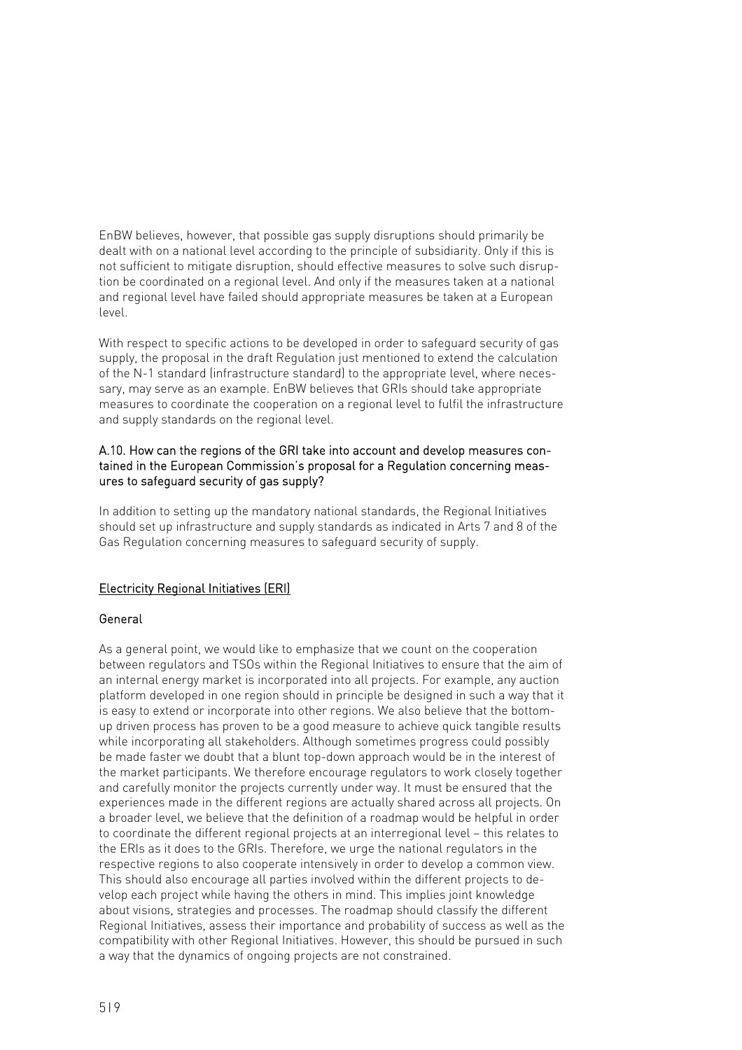EnBW believes, however, that possible gas supply disruptions should primarily be dealt with on a national level according to the principle of subsidiarity. Only if this is not sufficient to mitigate disruption, should effective measures to solve such disruption be coordinated on a regional level. And only if the measures taken at a national and regional level have failed should appropriate measures be taken at a European level.

With respect to specific actions to be developed in order to safeguard security of gas supply, the proposal in the draft Regulation just mentioned to extend the calculation of the N-1 standard (infrastructure standard) to the appropriate level, where necessary, may serve as an example. EnBW believes that GRIs should take appropriate measures to coordinate the cooperation on a regional level to fulfil the infrastructure and supply standards on the regional level.

# A.10. How can the regions of the GRI take into account and develop measures contained in the European Commission's proposal for a Regulation concerning measures to safeguard security of gas supply?

In addition to setting up the mandatory national standards, the Regional Initiatives should set up infrastructure and supply standards as indicated in Arts 7 and 8 of the Gas Regulation concerning measures to safeguard security of supply.

# Electricity Regional Initiatives (ERI)

#### General

As a general point, we would like to emphasize that we count on the cooperation between regulators and TSOs within the Regional Initiatives to ensure that the aim of an internal energy market is incorporated into all projects. For example, any auction platform developed in one region should in principle be designed in such a way that it is easy to extend or incorporate into other regions. We also believe that the bottomup driven process has proven to be a good measure to achieve quick tangible results while incorporating all stakeholders. Although sometimes progress could possibly be made faster we doubt that a blunt top-down approach would be in the interest of the market participants. We therefore encourage regulators to work closely together and carefully monitor the projects currently under way. It must be ensured that the experiences made in the different regions are actually shared across all projects. On a broader level, we believe that the definition of a roadmap would be helpful in order to coordinate the different regional projects at an interregional level – this relates to the ERIs as it does to the GRIs. Therefore, we urge the national regulators in the respective regions to also cooperate intensively in order to develop a common view. This should also encourage all parties involved within the different projects to develop each project while having the others in mind. This implies joint knowledge about visions, strategies and processes. The roadmap should classify the different Regional Initiatives, assess their importance and probability of success as well as the compatibility with other Regional Initiatives. However, this should be pursued in such a way that the dynamics of ongoing projects are not constrained.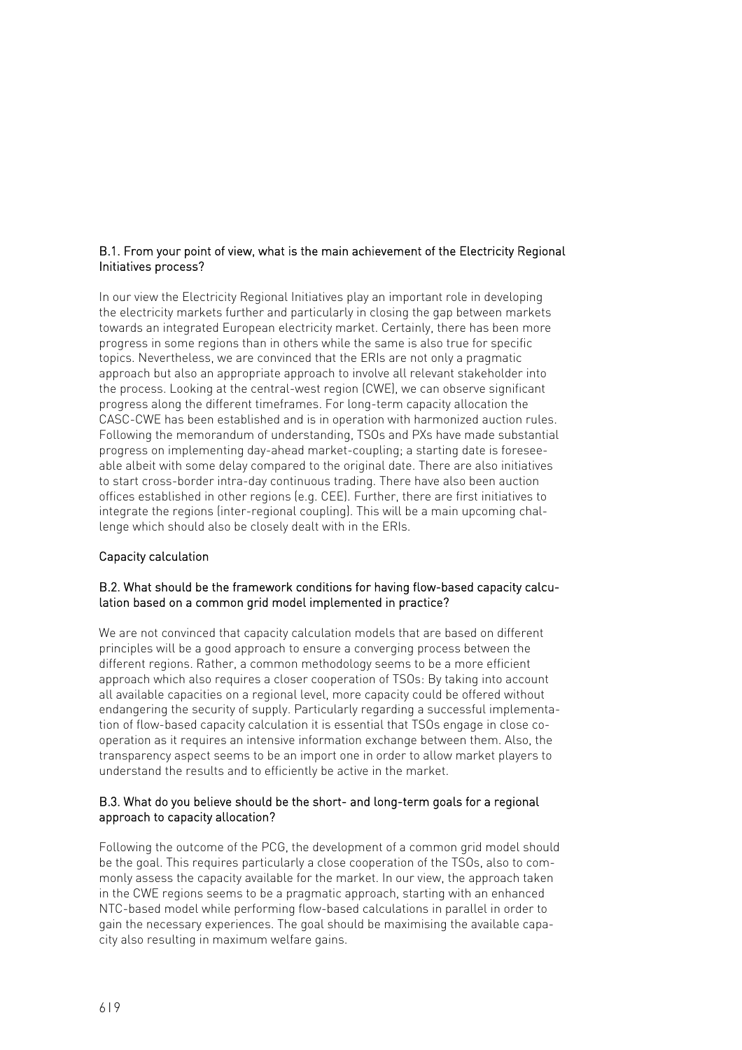# B.1. From your point of view, what is the main achievement of the Electricity Regional Initiatives process?

In our view the Electricity Regional Initiatives play an important role in developing the electricity markets further and particularly in closing the gap between markets towards an integrated European electricity market. Certainly, there has been more progress in some regions than in others while the same is also true for specific topics. Nevertheless, we are convinced that the ERIs are not only a pragmatic approach but also an appropriate approach to involve all relevant stakeholder into the process. Looking at the central-west region (CWE), we can observe significant progress along the different timeframes. For long-term capacity allocation the CASC-CWE has been established and is in operation with harmonized auction rules. Following the memorandum of understanding, TSOs and PXs have made substantial progress on implementing day-ahead market-coupling; a starting date is foreseeable albeit with some delay compared to the original date. There are also initiatives to start cross-border intra-day continuous trading. There have also been auction offices established in other regions (e.g. CEE). Further, there are first initiatives to integrate the regions (inter-regional coupling). This will be a main upcoming challenge which should also be closely dealt with in the ERIs.

# Capacity calculation

# B.2. What should be the framework conditions for having flow-based capacity calculation based on a common grid model implemented in practice?

We are not convinced that capacity calculation models that are based on different principles will be a good approach to ensure a converging process between the different regions. Rather, a common methodology seems to be a more efficient approach which also requires a closer cooperation of TSOs: By taking into account all available capacities on a regional level, more capacity could be offered without endangering the security of supply. Particularly regarding a successful implementation of flow-based capacity calculation it is essential that TSOs engage in close cooperation as it requires an intensive information exchange between them. Also, the transparency aspect seems to be an import one in order to allow market players to understand the results and to efficiently be active in the market.

# B.3. What do you believe should be the short- and long-term goals for a regional approach to capacity allocation?

Following the outcome of the PCG, the development of a common grid model should be the goal. This requires particularly a close cooperation of the TSOs, also to commonly assess the capacity available for the market. In our view, the approach taken in the CWE regions seems to be a pragmatic approach, starting with an enhanced NTC-based model while performing flow-based calculations in parallel in order to gain the necessary experiences. The goal should be maximising the available capacity also resulting in maximum welfare gains.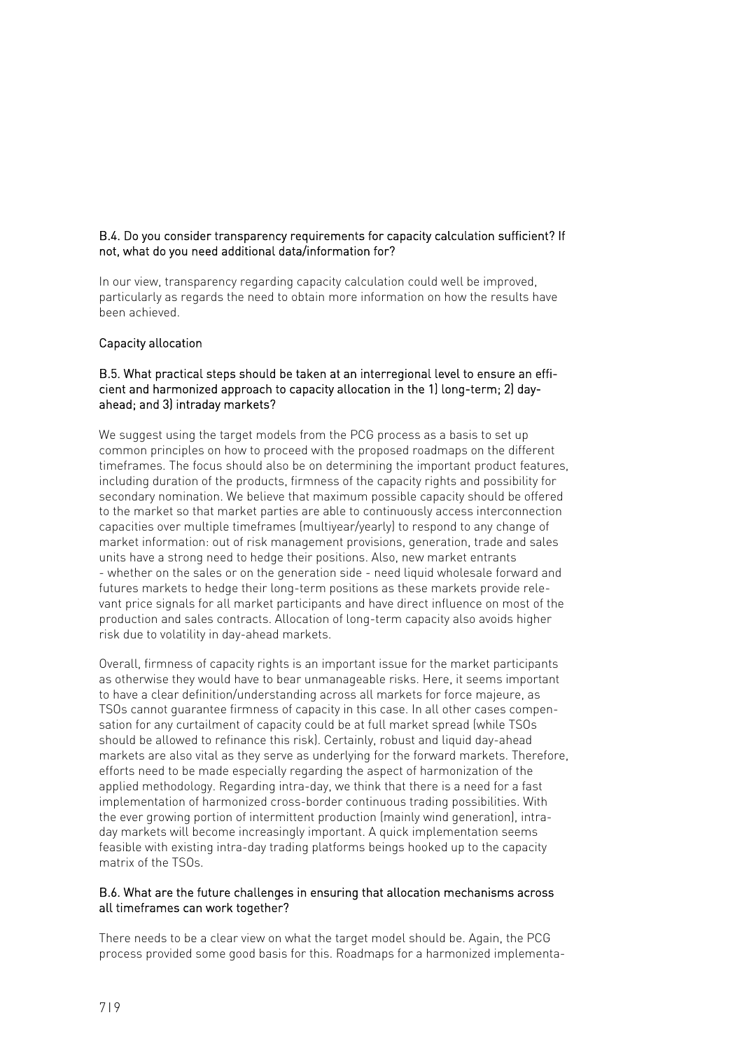# B.4. Do you consider transparency requirements for capacity calculation sufficient? If not, what do you need additional data/information for?

In our view, transparency regarding capacity calculation could well be improved, particularly as regards the need to obtain more information on how the results have been achieved.

#### Capacity allocation

## B.5. What practical steps should be taken at an interregional level to ensure an efficient and harmonized approach to capacity allocation in the 1) long-term; 2) dayahead; and 3) intraday markets?

We suggest using the target models from the PCG process as a basis to set up common principles on how to proceed with the proposed roadmaps on the different timeframes. The focus should also be on determining the important product features, including duration of the products, firmness of the capacity rights and possibility for secondary nomination. We believe that maximum possible capacity should be offered to the market so that market parties are able to continuously access interconnection capacities over multiple timeframes (multiyear/yearly) to respond to any change of market information: out of risk management provisions, generation, trade and sales units have a strong need to hedge their positions. Also, new market entrants - whether on the sales or on the generation side - need liquid wholesale forward and futures markets to hedge their long-term positions as these markets provide relevant price signals for all market participants and have direct influence on most of the production and sales contracts. Allocation of long-term capacity also avoids higher risk due to volatility in day-ahead markets.

Overall, firmness of capacity rights is an important issue for the market participants as otherwise they would have to bear unmanageable risks. Here, it seems important to have a clear definition/understanding across all markets for force majeure, as TSOs cannot guarantee firmness of capacity in this case. In all other cases compensation for any curtailment of capacity could be at full market spread (while TSOs should be allowed to refinance this risk). Certainly, robust and liquid day-ahead markets are also vital as they serve as underlying for the forward markets. Therefore, efforts need to be made especially regarding the aspect of harmonization of the applied methodology. Regarding intra-day, we think that there is a need for a fast implementation of harmonized cross-border continuous trading possibilities. With the ever growing portion of intermittent production (mainly wind generation), intraday markets will become increasingly important. A quick implementation seems feasible with existing intra-day trading platforms beings hooked up to the capacity matrix of the TSOs.

#### B.6. What are the future challenges in ensuring that allocation mechanisms across all timeframes can work together?

There needs to be a clear view on what the target model should be. Again, the PCG process provided some good basis for this. Roadmaps for a harmonized implementa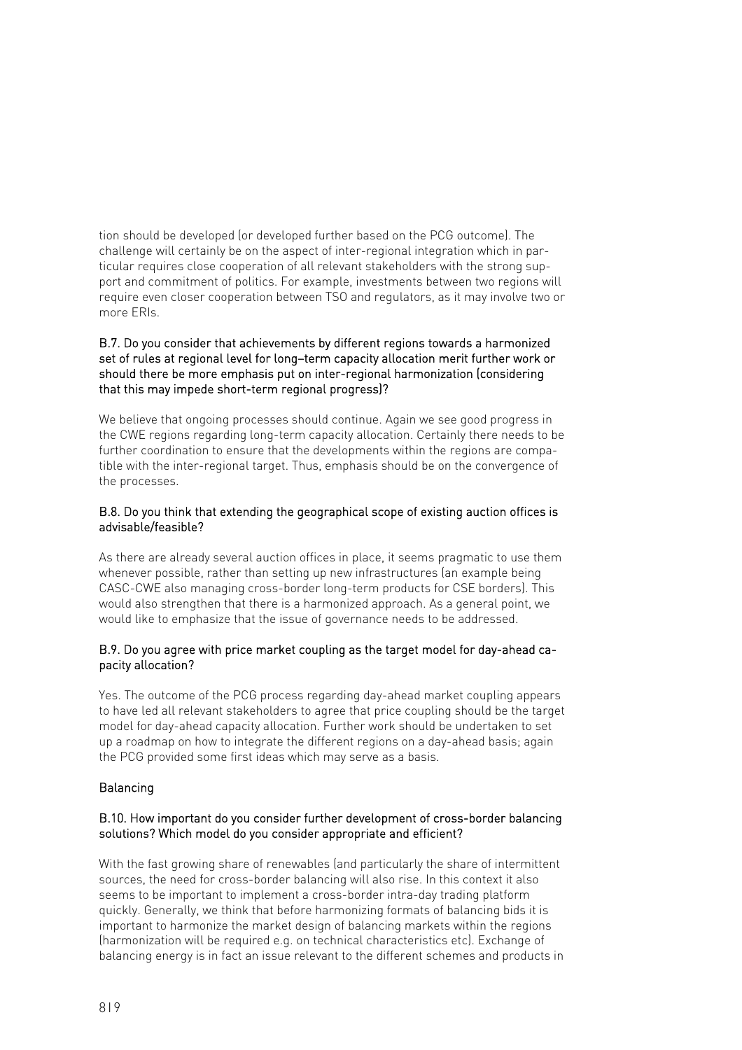tion should be developed (or developed further based on the PCG outcome). The challenge will certainly be on the aspect of inter-regional integration which in particular requires close cooperation of all relevant stakeholders with the strong support and commitment of politics. For example, investments between two regions will require even closer cooperation between TSO and regulators, as it may involve two or more ERIs.

### B.7. Do you consider that achievements by different regions towards a harmonized set of rules at regional level for long–term capacity allocation merit further work or should there be more emphasis put on inter-regional harmonization (considering that this may impede short-term regional progress)?

We believe that ongoing processes should continue. Again we see good progress in the CWE regions regarding long-term capacity allocation. Certainly there needs to be further coordination to ensure that the developments within the regions are compatible with the inter-regional target. Thus, emphasis should be on the convergence of the processes.

# B.8. Do you think that extending the geographical scope of existing auction offices is advisable/feasible?

As there are already several auction offices in place, it seems pragmatic to use them whenever possible, rather than setting up new infrastructures (an example being CASC-CWE also managing cross-border long-term products for CSE borders). This would also strengthen that there is a harmonized approach. As a general point, we would like to emphasize that the issue of governance needs to be addressed.

# B.9. Do you agree with price market coupling as the target model for day-ahead capacity allocation?

Yes. The outcome of the PCG process regarding day-ahead market coupling appears to have led all relevant stakeholders to agree that price coupling should be the target model for day-ahead capacity allocation. Further work should be undertaken to set up a roadmap on how to integrate the different regions on a day-ahead basis; again the PCG provided some first ideas which may serve as a basis.

# Balancing

# B.10. How important do you consider further development of cross-border balancing solutions? Which model do you consider appropriate and efficient?

With the fast growing share of renewables (and particularly the share of intermittent sources, the need for cross-border balancing will also rise. In this context it also seems to be important to implement a cross-border intra-day trading platform quickly. Generally, we think that before harmonizing formats of balancing bids it is important to harmonize the market design of balancing markets within the regions (harmonization will be required e.g. on technical characteristics etc). Exchange of balancing energy is in fact an issue relevant to the different schemes and products in